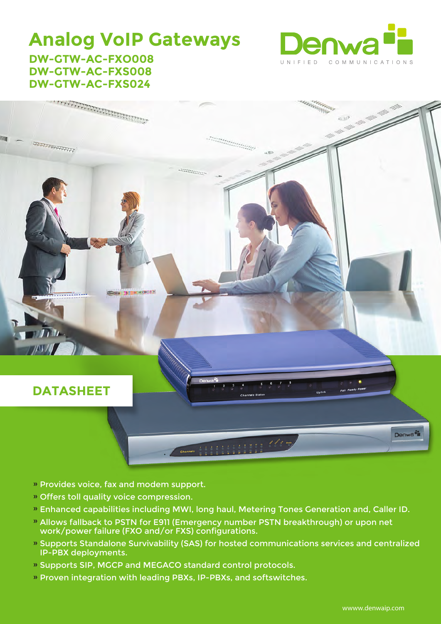### **Analog VoIP Gateways DW-GTW-AC-FXO008**



# **DW-GTW-AC-FXS008 DW-GTW-AC-FXS024**



- » Provides voice, fax and modem support.
- Offers toll quality voice compression. »
- Enhanced capabilities including MWI, long haul, Metering Tones Generation and, Caller ID. »
- » Allows fallback to PSTN for E911 (Emergency number PSTN breakthrough) or upon net work/power failure (FXO and/or FXS) configurations.
- » Supports Standalone Survivability (SAS) for hosted communications services and centralized IP-PBX deployments.
- » Supports SIP, MGCP and MEGACO standard control protocols.
- » Proven integration with leading PBXs, IP-PBXs, and softswitches.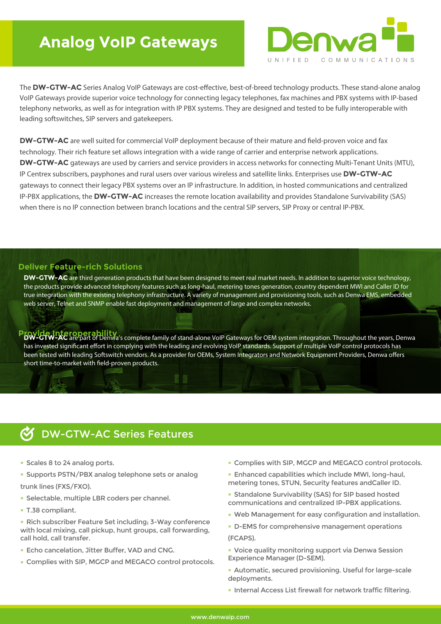## **Analog VoIP Gateways**



The DW-GTW-AC Series Analog VoIP Gateways are cost-effective, best-of-breed technology products. These stand-alone analog VoIP Gateways provide superior voice technology for connecting legacy telephones, fax machines and PBX systems with IP-based telephony networks, as well as for integration with IP PBX systems. They are designed and tested to be fully interoperable with leading softswitches, SIP servers and gatekeepers.

**DW-GTW-AC** are well suited for commercial VoIP deployment because of their mature and field-proven voice and fax technology. Their rich feature set allows integration with a wide range of carrier and enterprise network applications. **DW-GTW-AC** gateways are used by carriers and service providers in access networks for connecting Multi-Tenant Units (MTU), IP Centrex subscribers, payphones and rural users over various wireless and satellite links. Enterprises use **DW-GTW-AC** gateways to connect their legacy PBX systems over an IP infrastructure. In addition, in hosted communications and centralized IP-PBX applications, the **DW-GTW-AC** increases the remote location availability and provides Standalone Survivability (SAS) when there is no IP connection between branch locations and the central SIP servers, SIP Proxy or central IP-PBX.

#### **Deliver Feature-rich Solutions**

**DW-GTW-AC** are third generation products that have been designed to meet real market needs. In addition to superior voice technology, the products provide advanced telephony features such as long-haul, metering tones generation, country dependent MWI and Caller ID for true integration with the existing telephony infrastructure. A variety of management and provisioning tools, such as Denwa EMS, embedded web server, Telnet and SNMP enable fast deployment and management of large and complex networks.

**Provide Interoperability**<br>**PDW-GTW-AC** are part of Denwa's complete family of stand-alone VoIP Gateways for OEM system integration. Throughout the years, Denwa has invested significant effort in complying with the leading and evolving VoIP standards. Support of multiple VoIP control protocols has been tested with leading Softswitch vendors. As a provider for OEMs, System Integrators and Network Equipment Providers, Denwa offers short time-to-market with field-proven products.

### DW-GTW-AC Series Features

- » Scales 8 to 24 analog ports.
- » Supports PSTN/PBX analog telephone sets or analog
- trunk lines (FXS/FXO).
- » Selectable, multiple LBR coders per channel.
- » T.38 compliant.
- » Rich subscriber Feature Set including; 3-Way conference with local mixing, call pickup, hunt groups, call forwarding, call hold, call transfer.
- » Echo cancelation, Jitter Buffer, VAD and CNG.
- » Complies with SIP, MGCP and MEGACO control protocols.
- » Complies with SIP, MGCP and MEGACO control protocols.
- » Enhanced capabilities which include MWI, long-haul, metering tones, STUN, Security features andCaller ID.
- » Standalone Survivability (SAS) for SIP based hosted communications and centralized IP-PBX applications.
- » Web Management for easy configuration and installation.
- » D-EMS for comprehensive management operations (FCAPS).
- » Voice quality monitoring support via Denwa Session Experience Manager (D-SEM).
- » Automatic, secured provisioning. Useful for large-scale deployments.
- » Internal Access List firewall for network traffic filtering.